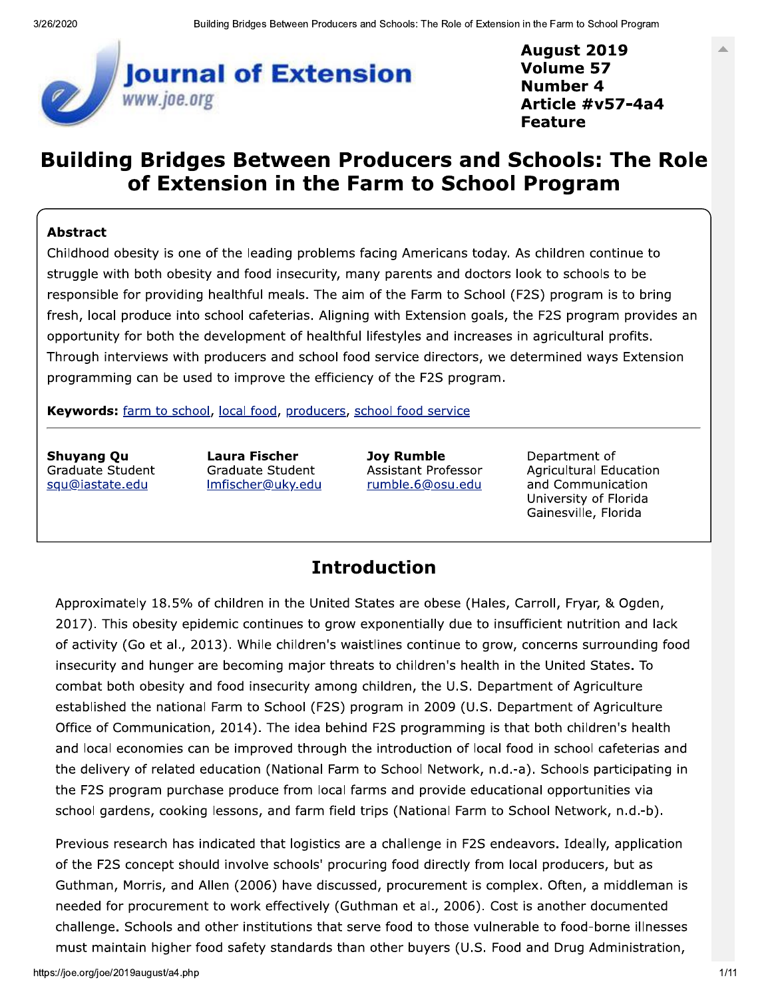

**August 2019 Volume 57 Number 4** Article #v57-4a4 **Feature** 

# **Building Bridges Between Producers and Schools: The Role** of Extension in the Farm to School Program

#### **Abstract**

Childhood obesity is one of the leading problems facing Americans today. As children continue to struggle with both obesity and food insecurity, many parents and doctors look to schools to be responsible for providing healthful meals. The aim of the Farm to School (F2S) program is to bring fresh, local produce into school cafeterias. Aligning with Extension goals, the F2S program provides an opportunity for both the development of healthful lifestyles and increases in agricultural profits. Through interviews with producers and school food service directors, we determined ways Extension programming can be used to improve the efficiency of the F2S program.

Keywords: farm to school, local food, producers, school food service

**Shuyang Qu** Graduate Student squ@iastate.edu

**Laura Fischer** Graduate Student <u>Imfischer@uky.edu</u>

**Joy Rumble** Assistant Professor rumble.6@osu.edu

Department of **Agricultural Education** and Communication University of Florida Gainesville, Florida

#### **Introduction**

Approximately 18.5% of children in the United States are obese (Hales, Carroll, Fryar, & Ogden, 2017). This obesity epidemic continues to grow exponentially due to insufficient nutrition and lack of activity (Go et al., 2013). While children's waistlines continue to grow, concerns surrounding food insecurity and hunger are becoming major threats to children's health in the United States. To combat both obesity and food insecurity among children, the U.S. Department of Agriculture established the national Farm to School (F2S) program in 2009 (U.S. Department of Agriculture Office of Communication, 2014). The idea behind F2S programming is that both children's health and local economies can be improved through the introduction of local food in school cafeterias and the delivery of related education (National Farm to School Network, n.d.-a). Schools participating in the F2S program purchase produce from local farms and provide educational opportunities via school gardens, cooking lessons, and farm field trips (National Farm to School Network, n.d.-b).

Previous research has indicated that logistics are a challenge in F2S endeavors. Ideally, application of the F2S concept should involve schools' procuring food directly from local producers, but as Guthman, Morris, and Allen (2006) have discussed, procurement is complex. Often, a middleman is needed for procurement to work effectively (Guthman et al., 2006). Cost is another documented challenge. Schools and other institutions that serve food to those vulnerable to food-borne illnesses must maintain higher food safety standards than other buyers (U.S. Food and Drug Administration,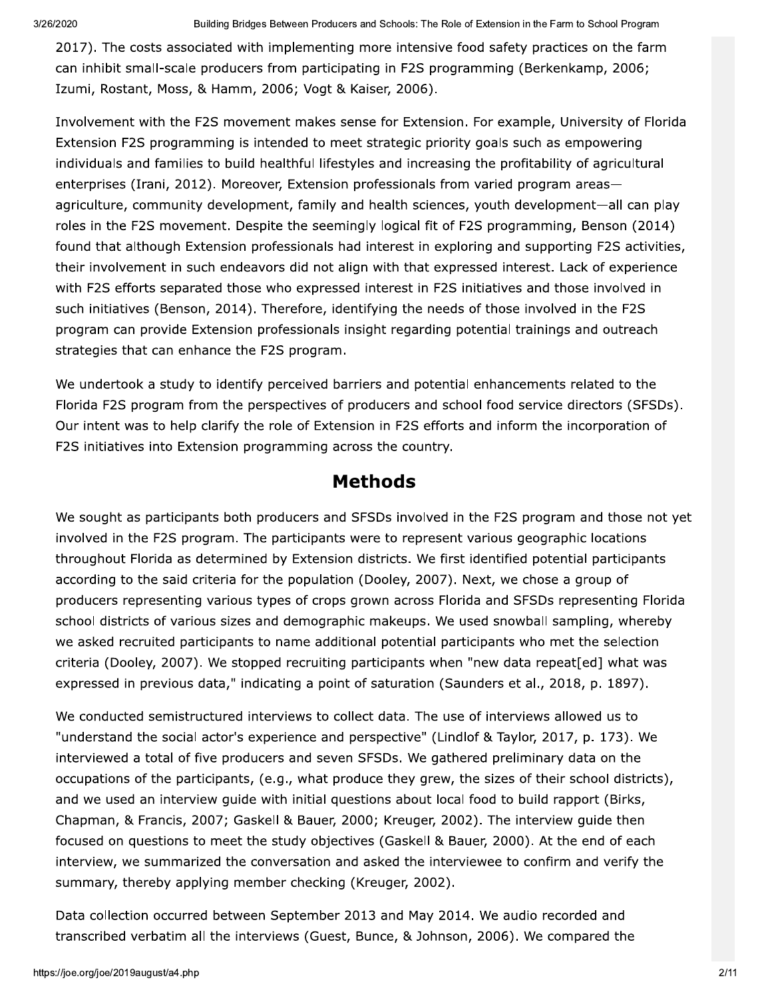2017). The costs associated with implementing more intensive food safety practices on the farm can inhibit small-scale producers from participating in F2S programming (Berkenkamp, 2006; Izumi, Rostant, Moss, & Hamm, 2006; Vogt & Kaiser, 2006).

Involvement with the F2S movement makes sense for Extension. For example, University of Florida Extension F2S programming is intended to meet strategic priority goals such as empowering individuals and families to build healthful lifestyles and increasing the profitability of agricultural enterprises (Irani, 2012). Moreover, Extension professionals from varied program areasagriculture, community development, family and health sciences, youth development-all can play roles in the F2S movement. Despite the seemingly logical fit of F2S programming, Benson (2014) found that although Extension professionals had interest in exploring and supporting F2S activities, their involvement in such endeavors did not align with that expressed interest. Lack of experience with F2S efforts separated those who expressed interest in F2S initiatives and those involved in such initiatives (Benson, 2014). Therefore, identifying the needs of those involved in the F2S program can provide Extension professionals insight regarding potential trainings and outreach strategies that can enhance the F2S program.

We undertook a study to identify perceived barriers and potential enhancements related to the Florida F2S program from the perspectives of producers and school food service directors (SFSDs). Our intent was to help clarify the role of Extension in F2S efforts and inform the incorporation of F2S initiatives into Extension programming across the country.

#### **Methods**

We sought as participants both producers and SFSDs involved in the F2S program and those not yet involved in the F2S program. The participants were to represent various geographic locations throughout Florida as determined by Extension districts. We first identified potential participants according to the said criteria for the population (Dooley, 2007). Next, we chose a group of producers representing various types of crops grown across Florida and SFSDs representing Florida school districts of various sizes and demographic makeups. We used snowball sampling, whereby we asked recruited participants to name additional potential participants who met the selection criteria (Dooley, 2007). We stopped recruiting participants when "new data repeat [ed] what was expressed in previous data," indicating a point of saturation (Saunders et al., 2018, p. 1897).

We conducted semistructured interviews to collect data. The use of interviews allowed us to "understand the social actor's experience and perspective" (Lindlof & Taylor, 2017, p. 173). We interviewed a total of five producers and seven SFSDs. We gathered preliminary data on the occupations of the participants, (e.g., what produce they grew, the sizes of their school districts), and we used an interview quide with initial questions about local food to build rapport (Birks, Chapman, & Francis, 2007; Gaskell & Bauer, 2000; Kreuger, 2002). The interview guide then focused on questions to meet the study objectives (Gaskell & Bauer, 2000). At the end of each interview, we summarized the conversation and asked the interviewee to confirm and verify the summary, thereby applying member checking (Kreuger, 2002).

Data collection occurred between September 2013 and May 2014. We audio recorded and transcribed verbatim all the interviews (Guest, Bunce, & Johnson, 2006). We compared the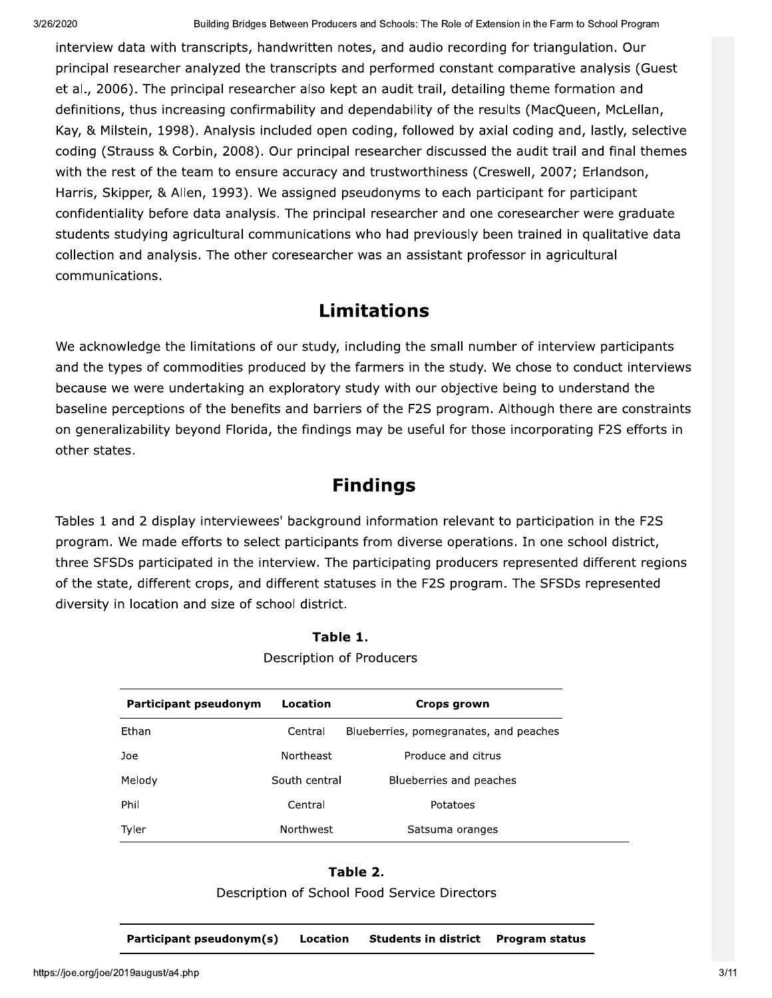interview data with transcripts, handwritten notes, and audio recording for triangulation. Our principal researcher analyzed the transcripts and performed constant comparative analysis (Guest et al., 2006). The principal researcher also kept an audit trail, detailing theme formation and definitions, thus increasing confirmability and dependability of the results (MacQueen, McLellan, Kay, & Milstein, 1998). Analysis included open coding, followed by axial coding and, lastly, selective coding (Strauss & Corbin, 2008). Our principal researcher discussed the audit trail and final themes with the rest of the team to ensure accuracy and trustworthiness (Creswell, 2007; Erlandson, Harris, Skipper, & Allen, 1993). We assigned pseudonyms to each participant for participant confidentiality before data analysis. The principal researcher and one coresearcher were graduate students studying agricultural communications who had previously been trained in qualitative data collection and analysis. The other coresearcher was an assistant professor in agricultural communications.

## **Limitations**

We acknowledge the limitations of our study, including the small number of interview participants and the types of commodities produced by the farmers in the study. We chose to conduct interviews because we were undertaking an exploratory study with our objective being to understand the baseline perceptions of the benefits and barriers of the F2S program. Although there are constraints on generalizability beyond Florida, the findings may be useful for those incorporating F2S efforts in other states.

#### **Findings**

Tables 1 and 2 display interviewees' background information relevant to participation in the F2S program. We made efforts to select participants from diverse operations. In one school district, three SFSDs participated in the interview. The participating producers represented different regions of the state, different crops, and different statuses in the F2S program. The SFSDs represented diversity in location and size of school district.

| Participant pseudonym | Location                     | Crops grown                            |  |
|-----------------------|------------------------------|----------------------------------------|--|
| Ethan                 | Central                      | Blueberries, pomegranates, and peaches |  |
| Joe                   | Northeast                    | Produce and citrus                     |  |
| Melody                | South central                | Blueberries and peaches                |  |
| Phil                  | Central                      | Potatoes                               |  |
| Tyler                 | Northwest<br>Satsuma oranges |                                        |  |

Table 1. Description of Producers

#### Table 2.

Description of School Food Service Directors

Participant pseudonym(s) Location **Students in district Program status**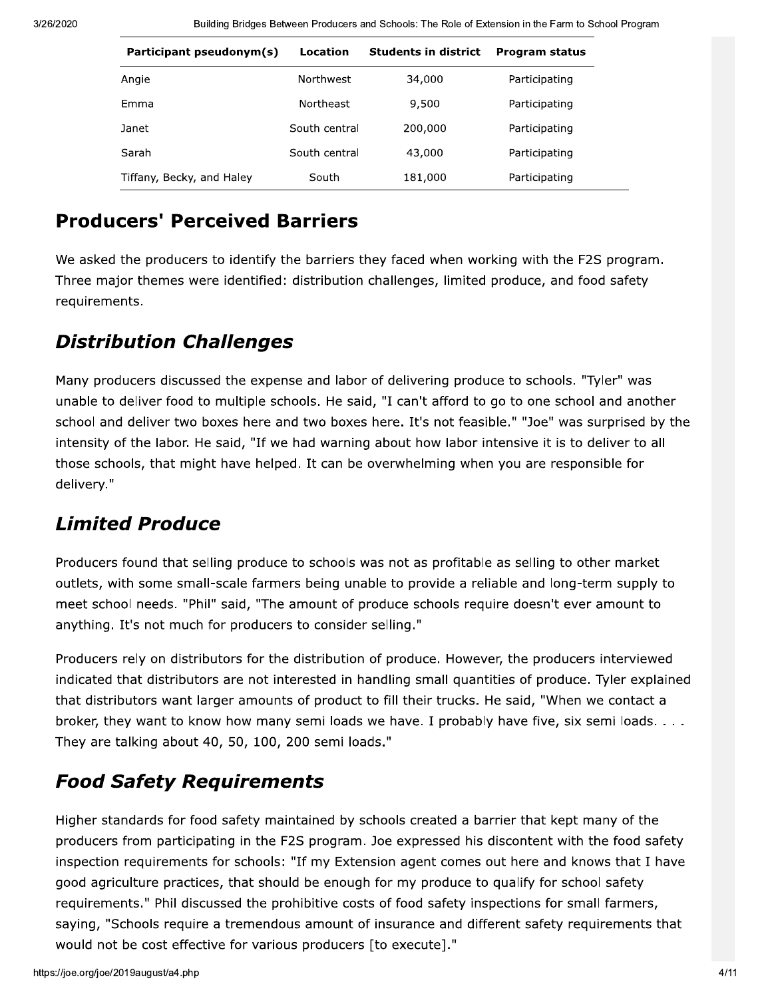Building Bridges Between Producers and Schools: The Role of Extension in the Farm to School Program

| Participant pseudonym(s)  | Location         | <b>Students in district</b> | <b>Program status</b> |
|---------------------------|------------------|-----------------------------|-----------------------|
| Angie                     | Northwest        | 34,000                      | Participating         |
| Emma                      | <b>Northeast</b> | 9,500                       | Participating         |
| Janet                     | South central    | 200,000                     | Participating         |
| Sarah                     | South central    | 43,000                      | Participating         |
| Tiffany, Becky, and Haley | South            | 181,000                     | Participating         |

#### **Producers' Perceived Barriers**

We asked the producers to identify the barriers they faced when working with the F2S program. Three major themes were identified: distribution challenges, limited produce, and food safety requirements.

## **Distribution Challenges**

Many producers discussed the expense and labor of delivering produce to schools. "Tyler" was unable to deliver food to multiple schools. He said, "I can't afford to go to one school and another school and deliver two boxes here and two boxes here. It's not feasible." "Joe" was surprised by the intensity of the labor. He said, "If we had warning about how labor intensive it is to deliver to all those schools, that might have helped. It can be overwhelming when you are responsible for delivery."

# **Limited Produce**

Producers found that selling produce to schools was not as profitable as selling to other market outlets, with some small-scale farmers being unable to provide a reliable and long-term supply to meet school needs. "Phil" said, "The amount of produce schools require doesn't ever amount to anything. It's not much for producers to consider selling."

Producers rely on distributors for the distribution of produce. However, the producers interviewed indicated that distributors are not interested in handling small quantities of produce. Tyler explained that distributors want larger amounts of product to fill their trucks. He said, "When we contact a broker, they want to know how many semi loads we have. I probably have five, six semi loads. . . . They are talking about 40, 50, 100, 200 semi loads."

# **Food Safety Requirements**

Higher standards for food safety maintained by schools created a barrier that kept many of the producers from participating in the F2S program. Joe expressed his discontent with the food safety inspection requirements for schools: "If my Extension agent comes out here and knows that I have good agriculture practices, that should be enough for my produce to qualify for school safety requirements." Phil discussed the prohibitive costs of food safety inspections for small farmers, saying, "Schools require a tremendous amount of insurance and different safety requirements that would not be cost effective for various producers [to execute]."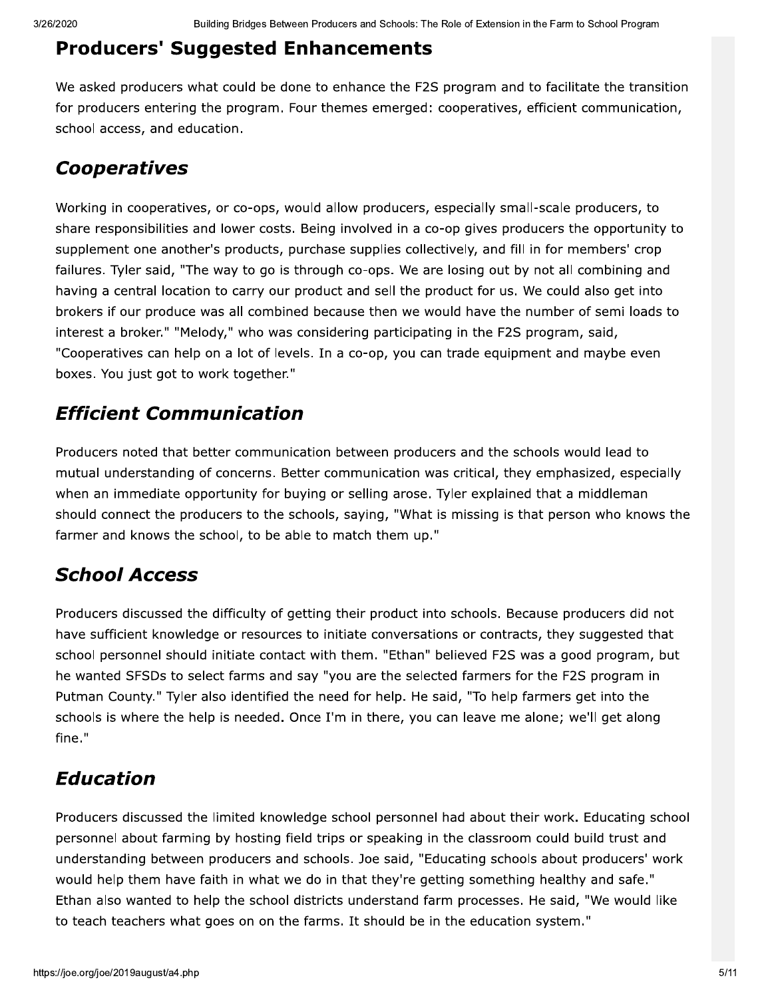#### **Producers' Suggested Enhancements**

We asked producers what could be done to enhance the F2S program and to facilitate the transition for producers entering the program. Four themes emerged: cooperatives, efficient communication, school access, and education.

#### **Cooperatives**

Working in cooperatives, or co-ops, would allow producers, especially small-scale producers, to share responsibilities and lower costs. Being involved in a co-op gives producers the opportunity to supplement one another's products, purchase supplies collectively, and fill in for members' crop failures. Tyler said, "The way to go is through co-ops. We are losing out by not all combining and having a central location to carry our product and sell the product for us. We could also get into brokers if our produce was all combined because then we would have the number of semi loads to interest a broker." "Melody," who was considering participating in the F2S program, said, "Cooperatives can help on a lot of levels. In a co-op, you can trade equipment and maybe even boxes. You just got to work together."

## **Efficient Communication**

Producers noted that better communication between producers and the schools would lead to mutual understanding of concerns. Better communication was critical, they emphasized, especially when an immediate opportunity for buying or selling arose. Tyler explained that a middleman should connect the producers to the schools, saying, "What is missing is that person who knows the farmer and knows the school, to be able to match them up."

## **School Access**

Producers discussed the difficulty of getting their product into schools. Because producers did not have sufficient knowledge or resources to initiate conversations or contracts, they suggested that school personnel should initiate contact with them. "Ethan" believed F2S was a good program, but he wanted SFSDs to select farms and say "you are the selected farmers for the F2S program in Putman County." Tyler also identified the need for help. He said, "To help farmers get into the schools is where the help is needed. Once I'm in there, you can leave me alone; we'll get along fine."

## **Education**

Producers discussed the limited knowledge school personnel had about their work. Educating school personnel about farming by hosting field trips or speaking in the classroom could build trust and understanding between producers and schools. Joe said, "Educating schools about producers' work would help them have faith in what we do in that they're getting something healthy and safe." Ethan also wanted to help the school districts understand farm processes. He said, "We would like to teach teachers what goes on on the farms. It should be in the education system."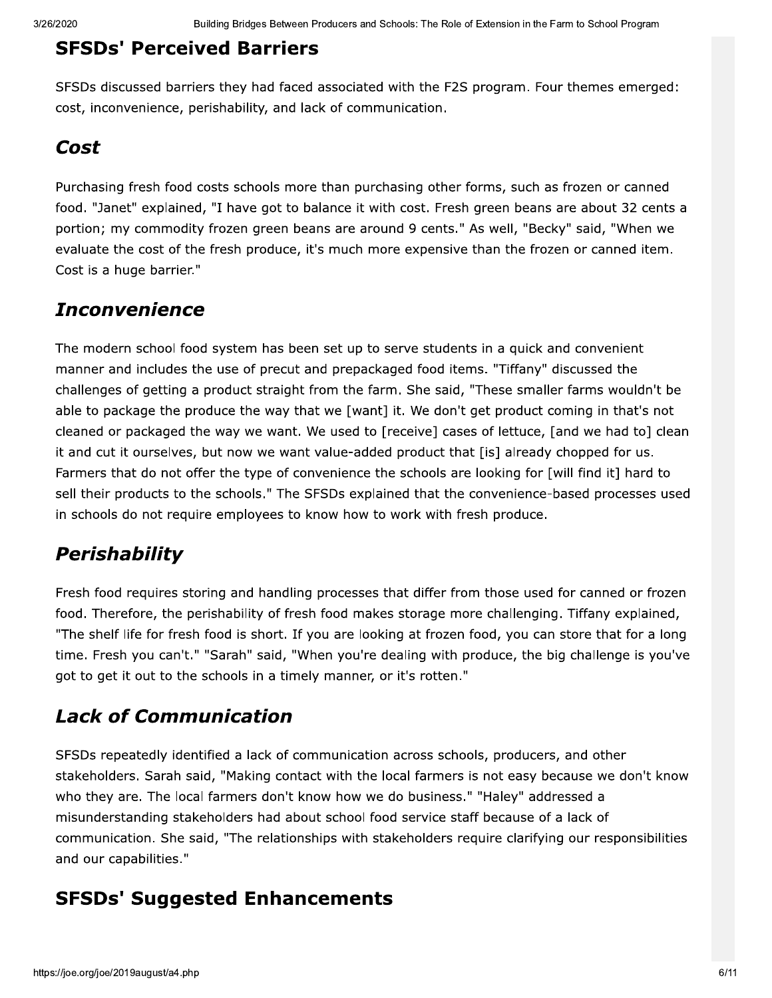#### **SFSDs' Perceived Barriers**

SFSDs discussed barriers they had faced associated with the F2S program. Four themes emerged: cost, inconvenience, perishability, and lack of communication.

#### Cost

Purchasing fresh food costs schools more than purchasing other forms, such as frozen or canned food. "Janet" explained, "I have got to balance it with cost. Fresh green beans are about 32 cents a portion; my commodity frozen green beans are around 9 cents." As well, "Becky" said, "When we evaluate the cost of the fresh produce, it's much more expensive than the frozen or canned item. Cost is a huge barrier."

## **Inconvenience**

The modern school food system has been set up to serve students in a quick and convenient manner and includes the use of precut and prepackaged food items. "Tiffany" discussed the challenges of getting a product straight from the farm. She said, "These smaller farms wouldn't be able to package the produce the way that we [want] it. We don't get product coming in that's not cleaned or packaged the way we want. We used to [receive] cases of lettuce, [and we had to] clean it and cut it ourselves, but now we want value-added product that [is] already chopped for us. Farmers that do not offer the type of convenience the schools are looking for [will find it] hard to sell their products to the schools." The SFSDs explained that the convenience-based processes used in schools do not require employees to know how to work with fresh produce.

## **Perishability**

Fresh food requires storing and handling processes that differ from those used for canned or frozen food. Therefore, the perishability of fresh food makes storage more challenging. Tiffany explained, "The shelf life for fresh food is short. If you are looking at frozen food, you can store that for a long time. Fresh you can't." "Sarah" said, "When you're dealing with produce, the big challenge is you've got to get it out to the schools in a timely manner, or it's rotten."

## **Lack of Communication**

SFSDs repeatedly identified a lack of communication across schools, producers, and other stakeholders. Sarah said, "Making contact with the local farmers is not easy because we don't know who they are. The local farmers don't know how we do business." "Haley" addressed a misunderstanding stakeholders had about school food service staff because of a lack of communication. She said, "The relationships with stakeholders require clarifying our responsibilities and our capabilities."

## **SFSDs' Suggested Enhancements**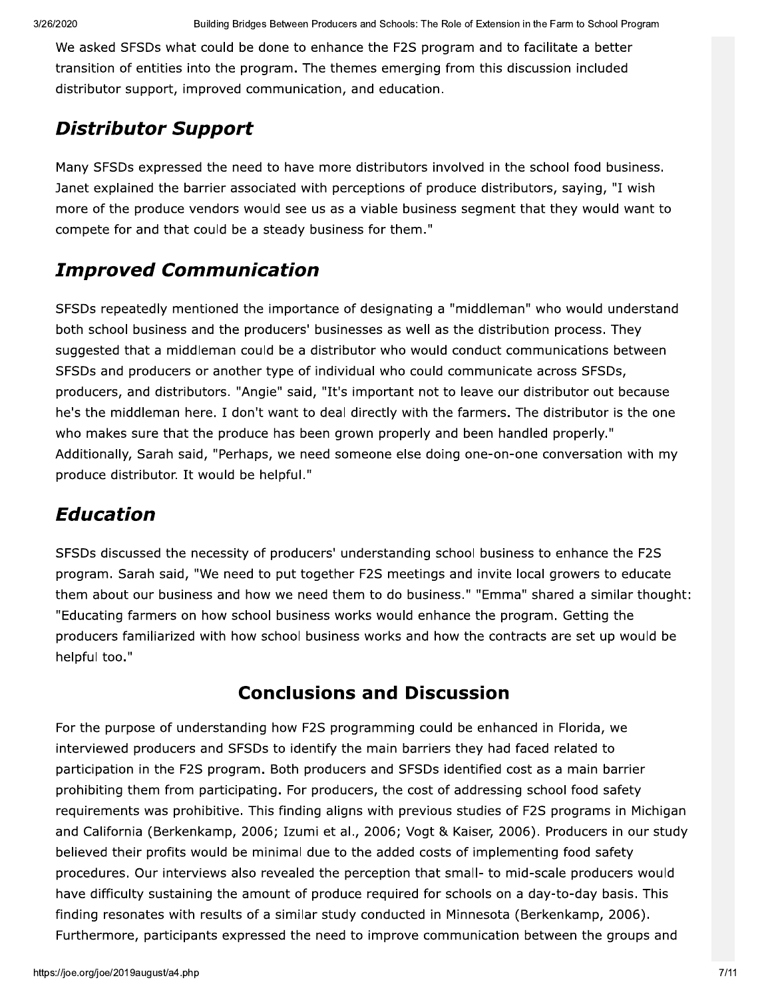We asked SFSDs what could be done to enhance the F2S program and to facilitate a better transition of entities into the program. The themes emerging from this discussion included distributor support, improved communication, and education.

# Distributor Support

Many SFSDs expressed the need to have more distributors involved in the school food business. Janet explained the barrier associated with perceptions of produce distributors, saying, "I wish more of the produce vendors would see us as a viable business segment that they would want to compete for and that could be a steady business for them."

## **Improved Communication**

SFSDs repeatedly mentioned the importance of designating a "middleman" who would understand both school business and the producers' businesses as well as the distribution process. They suggested that a middleman could be a distributor who would conduct communications between SFSDs and producers or another type of individual who could communicate across SFSDs, producers, and distributors. "Angie" said, "It's important not to leave our distributor out because he's the middleman here. I don't want to deal directly with the farmers. The distributor is the one who makes sure that the produce has been grown properly and been handled properly." Additionally, Sarah said, "Perhaps, we need someone else doing one-on-one conversation with my produce distributor. It would be helpful."

## Education

SFSDs discussed the necessity of producers' understanding school business to enhance the F2S program. Sarah said, "We need to put together F2S meetings and invite local growers to educate them about our business and how we need them to do business." "Emma" shared a similar thought: "Educating farmers on how school business works would enhance the program. Getting the producers familiarized with how school business works and how the contracts are set up would be helpful too."

## **Conclusions and Discussion**

taining the amount of produce required for schools on a day-to-day basis. This<br>with results of a similar study conducted in Minnesota (Berkenkamp, 2006).<br>icipants expressed the need to improve communication between the gro For the purpose of understanding how F2S programming could be enhanced in Florida, we interviewed producers and SFSDs to identify the main barriers they had faced related to participation in the F2S program. Both producers and SFSDs identified cost as a main barrier prohibiting them from participating. For producers, the cost of addressing school food safety requirements was prohibitive. This finding aligns with previous studies of F2S programs in Michigan and California (Berkenkamp, 2006; Izumi et al., 2006; Vogt & Kaiser, 2006). Producers in our study believed their profits would be minimal due to the added costs of implementing food safety procedures. Our interviews also revealed the perception that small- to mid-scale producers would have difficulty sustaining the amount of produce required for schools on a day-to-day basis. This finding resonates with results of a similar study conducted in Minnesota (Berkenkamp, 2006). Furthermore, participants expressed the need to improve communication between the groups and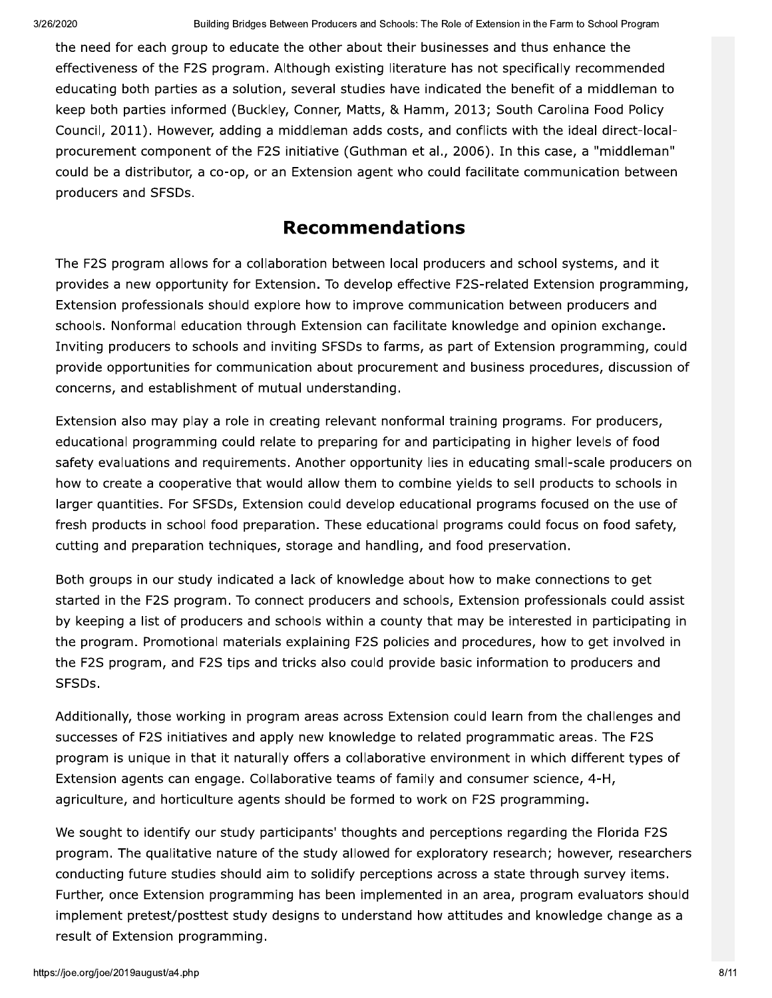the need for each group to educate the other about their businesses and thus enhance the effectiveness of the F2S program. Although existing literature has not specifically recommended educating both parties as a solution, several studies have indicated the benefit of a middleman to keep both parties informed (Buckley, Conner, Matts, & Hamm, 2013; South Carolina Food Policy Council, 2011). However, adding a middleman adds costs, and conflicts with the ideal direct-localprocurement component of the F2S initiative (Guthman et al., 2006). In this case, a "middleman" could be a distributor, a co-op, or an Extension agent who could facilitate communication between producers and SFSDs.

#### **Recommendations**

The F2S program allows for a collaboration between local producers and school systems, and it provides a new opportunity for Extension. To develop effective F2S-related Extension programming, Extension professionals should explore how to improve communication between producers and schools. Nonformal education through Extension can facilitate knowledge and opinion exchange. Inviting producers to schools and inviting SFSDs to farms, as part of Extension programming, could provide opportunities for communication about procurement and business procedures, discussion of concerns, and establishment of mutual understanding.

Extension also may play a role in creating relevant nonformal training programs. For producers, educational programming could relate to preparing for and participating in higher levels of food safety evaluations and requirements. Another opportunity lies in educating small-scale producers on how to create a cooperative that would allow them to combine yields to sell products to schools in larger quantities. For SFSDs, Extension could develop educational programs focused on the use of fresh products in school food preparation. These educational programs could focus on food safety, cutting and preparation techniques, storage and handling, and food preservation.

Both groups in our study indicated a lack of knowledge about how to make connections to get started in the F2S program. To connect producers and schools, Extension professionals could assist by keeping a list of producers and schools within a county that may be interested in participating in the program. Promotional materials explaining F2S policies and procedures, how to get involved in the F2S program, and F2S tips and tricks also could provide basic information to producers and SFSDs.

Additionally, those working in program areas across Extension could learn from the challenges and successes of F2S initiatives and apply new knowledge to related programmatic areas. The F2S program is unique in that it naturally offers a collaborative environment in which different types of Extension agents can engage. Collaborative teams of family and consumer science, 4-H, agriculture, and horticulture agents should be formed to work on F2S programming.

We sought to identify our study participants' thoughts and perceptions regarding the Florida F2S program. The qualitative nature of the study allowed for exploratory research; however, researchers conducting future studies should aim to solidify perceptions across a state through survey items. Further, once Extension programming has been implemented in an area, program evaluators should implement pretest/posttest study designs to understand how attitudes and knowledge change as a result of Extension programming.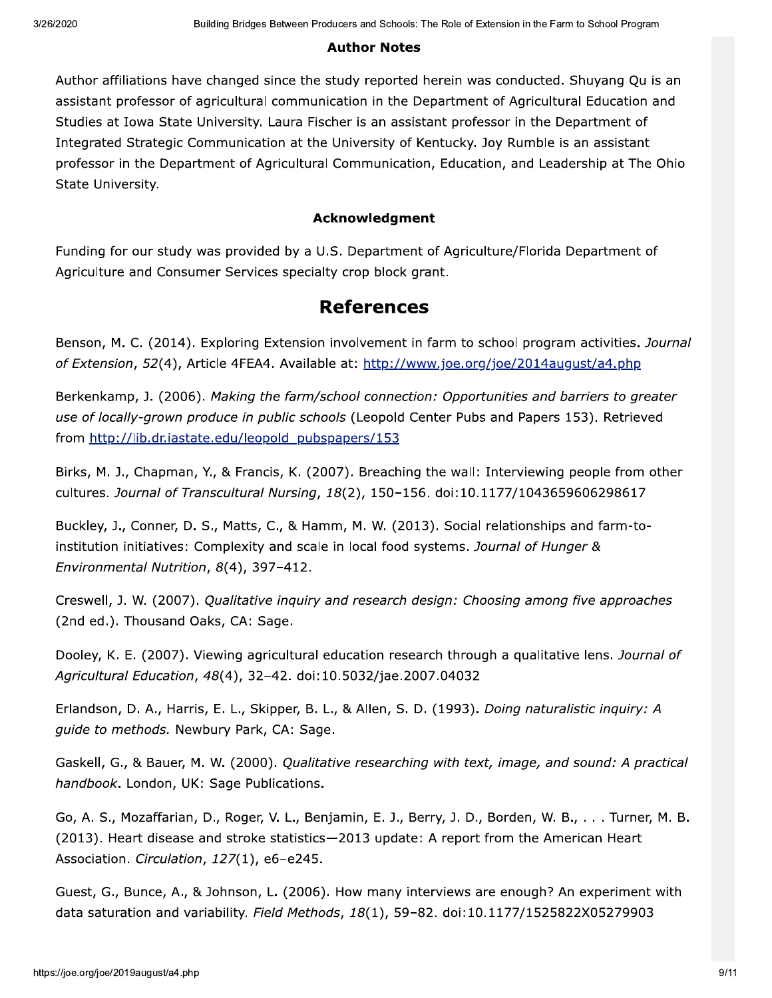#### **Author Notes**

Author affiliations have changed since the study reported herein was conducted. Shuyang Qu is an assistant professor of agricultural communication in the Department of Agricultural Education and Studies at Iowa State University. Laura Fischer is an assistant professor in the Department of Integrated Strategic Communication at the University of Kentucky. Joy Rumble is an assistant professor in the Department of Agricultural Communication, Education, and Leadership at The Ohio State University.

#### **Acknowledgment**

Funding for our study was provided by a U.S. Department of Agriculture/Florida Department of Agriculture and Consumer Services specialty crop block grant.

#### **References**

Benson, M. C. (2014). Exploring Extension involvement in farm to school program activities. Journal of Extension, 52(4), Article 4FEA4. Available at: http://www.joe.org/joe/2014august/a4.php

Berkenkamp, J. (2006). Making the farm/school connection: Opportunities and barriers to greater use of locally-grown produce in public schools (Leopold Center Pubs and Papers 153). Retrieved from http://lib.dr.iastate.edu/leopold pubspapers/153

Birks, M. J., Chapman, Y., & Francis, K. (2007). Breaching the wall: Interviewing people from other cultures. Journal of Transcultural Nursing, 18(2), 150-156. doi:10.1177/1043659606298617

Buckley, J., Conner, D. S., Matts, C., & Hamm, M. W. (2013). Social relationships and farm-toinstitution initiatives: Complexity and scale in local food systems. Journal of Hunger & Environmental Nutrition, 8(4), 397-412.

Creswell, J. W. (2007). Qualitative inguiry and research design: Choosing among five approaches (2nd ed.). Thousand Oaks, CA: Sage.

Dooley, K. E. (2007). Viewing agricultural education research through a qualitative lens. Journal of Agricultural Education, 48(4), 32-42. doi:10.5032/jae.2007.04032

Erlandson, D. A., Harris, E. L., Skipper, B. L., & Allen, S. D. (1993). Doing naturalistic inquiry: A guide to methods. Newbury Park, CA: Sage.

Gaskell, G., & Bauer, M. W. (2000). Qualitative researching with text, image, and sound: A practical handbook. London, UK: Sage Publications.

Go, A. S., Mozaffarian, D., Roger, V. L., Benjamin, E. J., Berry, J. D., Borden, W. B., . . . Turner, M. B. (2013). Heart disease and stroke statistics-2013 update: A report from the American Heart Association. Circulation, 127(1), e6-e245.

Guest, G., Bunce, A., & Johnson, L. (2006). How many interviews are enough? An experiment with data saturation and variability. Field Methods, 18(1), 59-82. doi:10.1177/1525822X05279903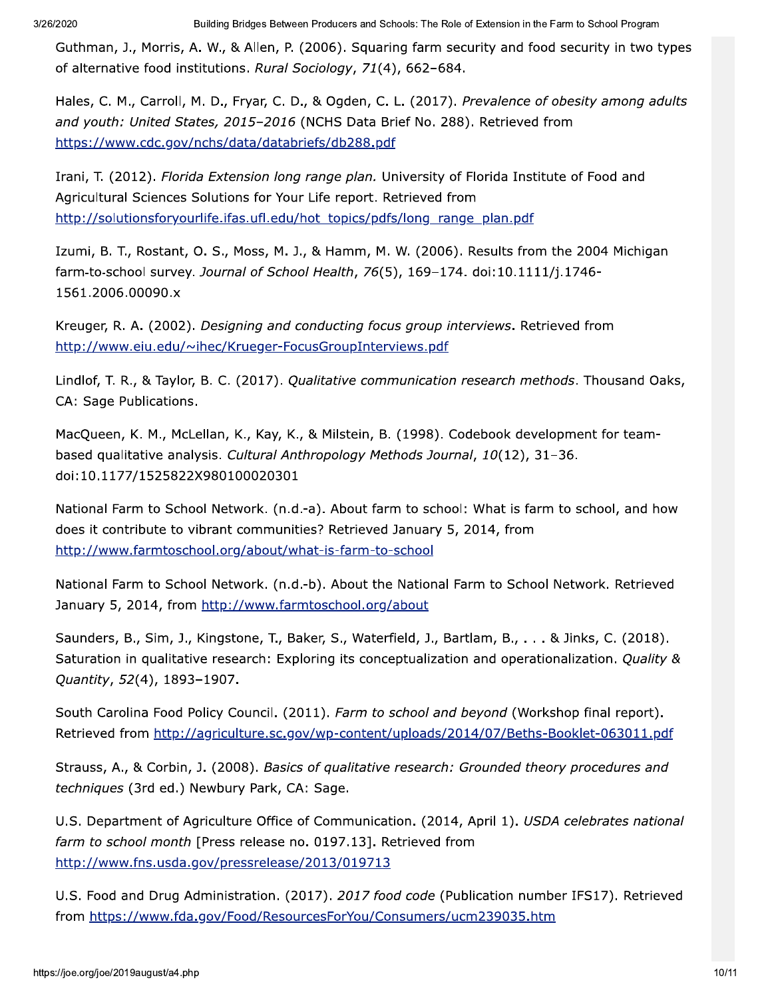Guthman, J., Morris, A. W., & Allen, P. (2006). Squaring farm security and food security in two types of alternative food institutions. Rural Sociology, 71(4), 662-684.

Hales, C. M., Carroll, M. D., Fryar, C. D., & Ogden, C. L. (2017). Prevalence of obesity among adults and youth: United States, 2015-2016 (NCHS Data Brief No. 288). Retrieved from https://www.cdc.gov/nchs/data/databriefs/db288.pdf

Irani, T. (2012). Florida Extension long range plan. University of Florida Institute of Food and Agricultural Sciences Solutions for Your Life report. Retrieved from http://solutionsforyourlife.ifas.ufl.edu/hot\_topics/pdfs/long\_range\_plan.pdf

Izumi, B. T., Rostant, O. S., Moss, M. J., & Hamm, M. W. (2006). Results from the 2004 Michigan farm-to-school survey. Journal of School Health, 76(5), 169-174. doi:10.1111/j.1746-1561.2006.00090.x

Kreuger, R. A. (2002). Designing and conducting focus group interviews. Retrieved from http://www.eiu.edu/~ihec/Krueger-FocusGroupInterviews.pdf

Lindlof, T. R., & Taylor, B. C. (2017). Qualitative communication research methods. Thousand Oaks, CA: Sage Publications.

MacQueen, K. M., McLellan, K., Kay, K., & Milstein, B. (1998). Codebook development for teambased qualitative analysis. Cultural Anthropology Methods Journal, 10(12), 31-36. doi:10.1177/1525822X980100020301

National Farm to School Network. (n.d.-a). About farm to school: What is farm to school, and how does it contribute to vibrant communities? Retrieved January 5, 2014, from http://www.farmtoschool.org/about/what-is-farm-to-school

National Farm to School Network. (n.d.-b). About the National Farm to School Network. Retrieved January 5, 2014, from http://www.farmtoschool.org/about

Saunders, B., Sim, J., Kingstone, T., Baker, S., Waterfield, J., Bartlam, B., . . . & Jinks, C. (2018). Saturation in qualitative research: Exploring its conceptualization and operationalization. Ouality & Quantity, 52(4), 1893-1907.

South Carolina Food Policy Council. (2011). Farm to school and beyond (Workshop final report). Retrieved from http://agriculture.sc.gov/wp-content/uploads/2014/07/Beths-Booklet-063011.pdf

Strauss, A., & Corbin, J. (2008). Basics of qualitative research: Grounded theory procedures and techniques (3rd ed.) Newbury Park, CA: Sage.

U.S. Department of Agriculture Office of Communication. (2014, April 1). USDA celebrates national farm to school month [Press release no. 0197.13]. Retrieved from http://www.fns.usda.gov/pressrelease/2013/019713

U.S. Food and Drug Administration. (2017). 2017 food code (Publication number IFS17). Retrieved from https://www.fda.gov/Food/ResourcesForYou/Consumers/ucm239035.htm